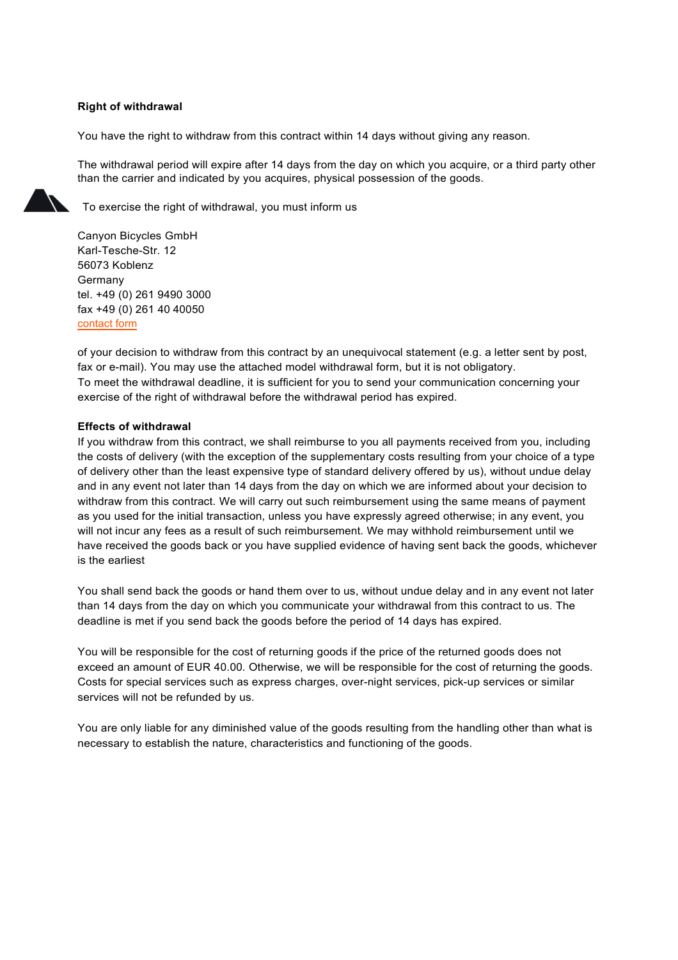## **Right of withdrawal**

You have the right to withdraw from this contract within 14 days without giving any reason.

The withdrawal period will expire after 14 days from the day on which you acquire, or a third party other than the carrier and indicated by you acquires, physical possession of the goods.

To exercise the right of withdrawal, you must inform us

Canyon Bicycles GmbH Karl-Tesche-Str. 12 56073 Koblenz Germany tel. +49 (0) 261 9490 3000 fax +49 (0) 261 40 40050 [contact](https://www.canyon.com/country/lang/contact/) form

of your decision to withdraw from this contract by an unequivocal statement (e.g. a letter sent by post, fax or e-mail). You may use the attached model withdrawal form, but it is not obligatory. To meet the withdrawal deadline, it is sufficient for you to send your communication concerning your exercise of the right of withdrawal before the withdrawal period has expired.

## **Effects of withdrawal**

If you withdraw from this contract, we shall reimburse to you all payments received from you, including the costs of delivery (with the exception of the supplementary costs resulting from your choice of a type of delivery other than the least expensive type of standard delivery offered by us), without undue delay and in any event not later than 14 days from the day on which we are informed about your decision to withdraw from this contract. We will carry out such reimbursement using the same means of payment as you used for the initial transaction, unless you have expressly agreed otherwise; in any event, you will not incur any fees as a result of such reimbursement. We may withhold reimbursement until we have received the goods back or you have supplied evidence of having sent back the goods, whichever is the earliest

You shall send back the goods or hand them over to us, without undue delay and in any event not later than 14 days from the day on which you communicate your withdrawal from this contract to us. The deadline is met if you send back the goods before the period of 14 days has expired.

You will be responsible for the cost of returning goods if the price of the returned goods does not exceed an amount of EUR 40.00. Otherwise, we will be responsible for the cost of returning the goods. Costs for special services such as express charges, over-night services, pick-up services or similar services will not be refunded by us.

You are only liable for any diminished value of the goods resulting from the handling other than what is necessary to establish the nature, characteristics and functioning of the goods.